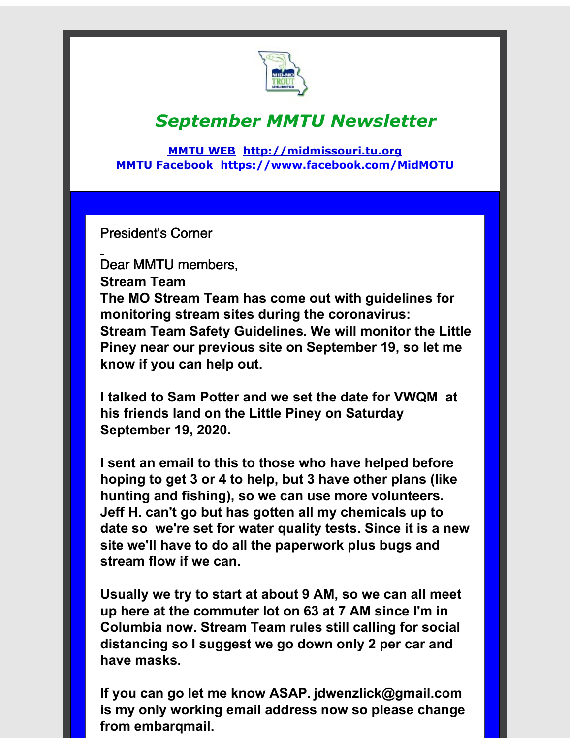

## *September MMTU Newsletter*

**[MMTU](http://r20.rs6.net/tn.jsp?f=001fDBijMHc0BjLjgzJFFG8jlSOkY_JRPtRwtM1Por1TzTAyg2wSCwd29zBvOeQRKrk3QTOKQCpz-b0HW00XTXkZ5TBH5DPWJ5HvXDZxpb5C7oAOvIlHkmkt0PNxQGT3yIVEIrKB_5gsc0g0tfu7Ch-o1BjrJPQ_mabN5l6EzdgWv8=&c=&ch=) WEB [http://midmissouri.tu.org](http://r20.rs6.net/tn.jsp?f=001fDBijMHc0BjLjgzJFFG8jlSOkY_JRPtRwtM1Por1TzTAyg2wSCwd24dhzq3_Y2Jio0ipiElmC8HOwZo6Dxa_XOm0kLzmILipjbavp9mqAz8Zg4CUV5NUv9qBprDMuHYHUwdc07qzR4tE6iSpmPVx-CHSLdAcqfangsC50FD3Zbk=&c=&ch=) MMTU [Facebook](http://r20.rs6.net/tn.jsp?f=001fDBijMHc0BjLjgzJFFG8jlSOkY_JRPtRwtM1Por1TzTAyg2wSCwd29zBvOeQRKrkPS5gfEYxVOONM1YVwCetw6_EjetabQYSz227bIVDobhLy9mSPg8Yl8UqsP6Mjv8nscYiyvO-ILImtds6tD3DLIQUORP8tT5aPBJwX3MCIb1fMWgSRgQVsQ==&c=&ch=) [https://www.facebook.com/MidMOTU](http://r20.rs6.net/tn.jsp?f=001fDBijMHc0BjLjgzJFFG8jlSOkY_JRPtRwtM1Por1TzTAyg2wSCwd29zBvOeQRKrkPS5gfEYxVOONM1YVwCetw6_EjetabQYSz227bIVDobhLy9mSPg8Yl8UqsP6Mjv8nscYiyvO-ILImtds6tD3DLIQUORP8tT5aPBJwX3MCIb1fMWgSRgQVsQ==&c=&ch=)**

President's Corner

Dear MMTU members, **Stream Team The MO Stream Team has come out with guidelines for monitoring stream sites during the coronavirus: Stream Team Safety [Guidelines](http://r20.rs6.net/tn.jsp?f=001fDBijMHc0BjLjgzJFFG8jlSOkY_JRPtRwtM1Por1TzTAyg2wSCwd21GrM-VvwVyLIw8_61LCkiqRLYcdt_3lRg2-2Yj7DI2IneG1Bd7KMEshc3C0yb0cRnz-QNqSXo7fJjeEG6OHtvaGaGoAq5rc3nUub-MV9Ylxn1W8mFXgT2qS40uBDDM80nqQOPa435efNBa9nBGBWXs=&c=&ch=). We will monitor the Little Piney near our previous site on September 19, so let me know if you can help out.**

**I talked to Sam Potter and we set the date for VWQM at his friends land on the Little Piney on Saturday September 19, 2020.**

**I sent an email to this to those who have helped before hoping to get 3 or 4 to help, but 3 have other plans (like hunting and fishing), so we can use more volunteers. Jeff H. can't go but has gotten all my chemicals up to date so we're set for water quality tests. Since it is a new site we'll have to do all the paperwork plus bugs and stream flow if we can.**

**Usually we try to start at about 9 AM, so we can all meet up here at the commuter lot on 63 at 7 AM since I'm in Columbia now. Stream Team rules still calling for social distancing so I suggest we go down only 2 per car and have masks.**

**If you can go let me know ASAP. jdwenzlick@gmail.com is my only working email address now so please change from embarqmail.**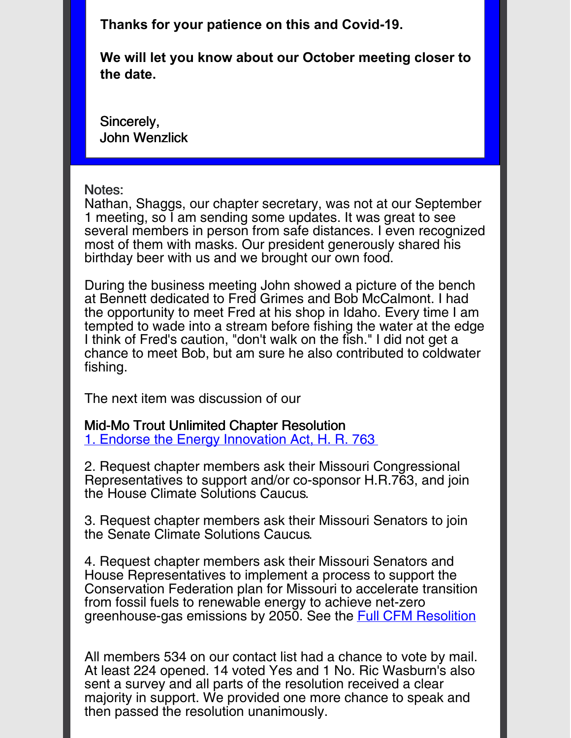**Thanks for your patience on this and Covid-19.**

**We will let you know about our October meeting closer to the date.**

Sincerely, John Wenzlick

## Notes:

Nathan, Shaggs, our chapter secretary, was not at our September 1 meeting, so I am sending some updates. It was great to see several members in person from safe distances. I even recognized most of them with masks. Our president generously shared his birthday beer with us and we brought our own food.

During the business meeting John showed a picture of the bench at Bennett dedicated to Fred Grimes and Bob McCalmont. I had the opportunity to meet Fred at his shop in Idaho. Every time I am tempted to wade into a stream before fishing the water at the edge I think of Fred's caution, "don't walk on the fish." I did not get a chance to meet Bob, but am sure he also contributed to coldwater fishing.

The next item was discussion of our

Mid-Mo Trout Unlimited Chapter Resolution 1. Endorse the Energy [Innovation](http://r20.rs6.net/tn.jsp?f=001fDBijMHc0BjLjgzJFFG8jlSOkY_JRPtRwtM1Por1TzTAyg2wSCwd2_V-UzZhrFnlbnHV5VRWZzv6ef8-ak18ktm9neFIVRF_BE11wyPOOKYZomAtc-wQJfr99o76QoKbJWnJdkG1-A_sv0RBv5vqvLGw-LkmyBa96bTtCZdXZ_5D3ySuxU5cSIy2Lkm-lPZch41lS0AvuoUkf3kudAI-Mroi8OPg0K431pqNcf-5u7RXRQwOl5qGfg==&c=&ch=) Act, H. R. 763

2. Request chapter members ask their Missouri Congressional Representatives to support and/or co-sponsor H.R.763, and join the House Climate Solutions Caucus.

3. Request chapter members ask their Missouri Senators to join the Senate Climate Solutions Caucus.

4. Request chapter members ask their Missouri Senators and House Representatives to implement a process to support the Conservation Federation plan for Missouri to accelerate transition from fossil fuels to renewable energy to achieve net-zero greenhouse-gas emissions by 2050. See the Full CFM [Resolition](http://r20.rs6.net/tn.jsp?f=001fDBijMHc0BjLjgzJFFG8jlSOkY_JRPtRwtM1Por1TzTAyg2wSCwd2_V-UzZhrFnlbnHV5VRWZzv6ef8-ak18ktm9neFIVRF_BE11wyPOOKYZomAtc-wQJfr99o76QoKbJWnJdkG1-A_sv0RBv5vqvLGw-LkmyBa96bTtCZdXZ_5D3ySuxU5cSIy2Lkm-lPZch41lS0AvuoUkf3kudAI-Mroi8OPg0K431pqNcf-5u7RXRQwOl5qGfg==&c=&ch=)

All members 534 on our contact list had a chance to vote by mail. At least 224 opened. 14 voted Yes and 1 No. Ric Wasburn's also sent a survey and all parts of the resolution received a clear majority in support. We provided one more chance to speak and then passed the resolution unanimously.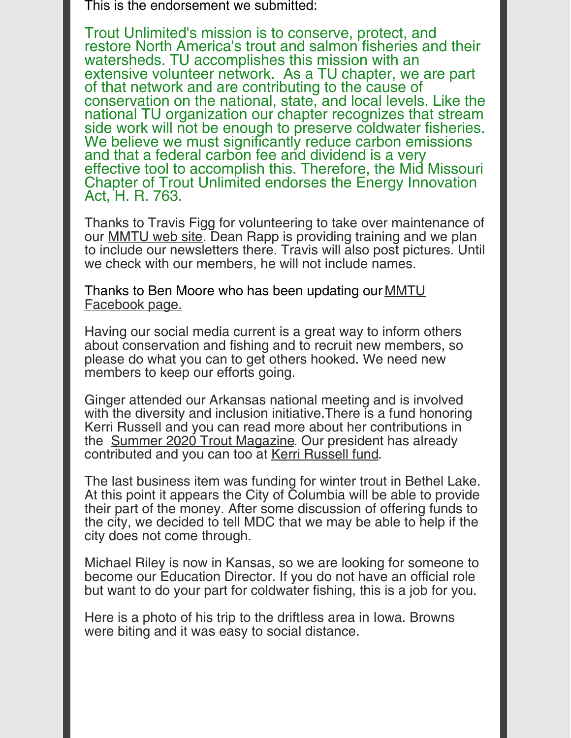This is the endorsement we submitted:

Trout Unlimited's mission is to conserve, protect, and restore North America's trout and salmon fisheries and their watersheds. TU accomplishes this mission with an extensive volunteer network. As a TU chapter, we are part of that network and are contributing to the cause of conservation on the national, state, and local levels. Like the national TU organization our chapter recognizes that stream side work will not be enough to preserve coldwater fisheries. We believe we must significantly reduce carbon emissions. and that a federal carbon fee and dividend is a very effective tool to accomplish this. Therefore, the Mid Missouri Chapter of Trout Unlimited endorses the Energy Innovation Act, H. R. 763.

Thanks to Travis Figg for volunteering to take over maintenance of our [MMTU](http://r20.rs6.net/tn.jsp?f=001fDBijMHc0BjLjgzJFFG8jlSOkY_JRPtRwtM1Por1TzTAyg2wSCwd26fFM7alFitDAYWYJ4NIlqGn5yyCihcVO3iMpGU7RXo913T1YJTARxo7WNz0rb_9OjGdzH4YMNTY63ZvD07TS5q7KNLcN9rQP_3w-jf--FaP7m1pOhflTECtgLZSL6Nryw==&c=&ch=) web site. Dean Rapp is providing training and we plan to include our newsletters there. Travis will also post pictures. Until we check with our members, he will not include names.

Thanks to Ben Moore who has been updating our **MMTU** [Facebook](http://r20.rs6.net/tn.jsp?f=001fDBijMHc0BjLjgzJFFG8jlSOkY_JRPtRwtM1Por1TzTAyg2wSCwd29zBvOeQRKrkPS5gfEYxVOONM1YVwCetw6_EjetabQYSz227bIVDobhLy9mSPg8Yl8UqsP6Mjv8nscYiyvO-ILImtds6tD3DLIQUORP8tT5aPBJwX3MCIb1fMWgSRgQVsQ==&c=&ch=) page.

Having our social media current is a great way to inform others about conservation and fishing and to recruit new members, so please do what you can to get others hooked. We need new members to keep our efforts going.

Ginger attended our Arkansas national meeting and is involved with the diversity and inclusion initiative.There is a fund honoring Kerri Russell and you can read more about her contributions in the Summer 2020 Trout [Magazine.](http://r20.rs6.net/tn.jsp?f=001fDBijMHc0BjLjgzJFFG8jlSOkY_JRPtRwtM1Por1TzTAyg2wSCwd22GyaGRZCLnrES41PdXIji37BN6AlfLzaHRFR3cgWM6ZxvsAieZ74zdFF2WAZFtyGLTdh9ww9Bs-hrSVbGxX27gneC-9OUcWL4kUgX__oCgBBajbjmb99uhrjcptmZsBi8Cs8fvqcx1LE5tP5cU2YcwKPo9EnQhzqw==&c=&ch=) Our president has already contributed and you can too at Kerri [Russell](http://r20.rs6.net/tn.jsp?f=001fDBijMHc0BjLjgzJFFG8jlSOkY_JRPtRwtM1Por1TzTAyg2wSCwd22GyaGRZCLnrjd3nnK87G72t-YvJDe0dMsWkcYwKDffnwREmwx8CWf4wPJ2Bcff5ERfKPVgHyqVdttxAzLzAA4WnkcMoLWpHwgdXxGAbA8y2j4VsjmZwl1Y0q0qLAvnl78q57rIX8t0B&c=&ch=) fund.

The last business item was funding for winter trout in Bethel Lake. At this point it appears the City of Columbia will be able to provide their part of the money. After some discussion of offering funds to the city, we decided to tell MDC that we may be able to help if the city does not come through.

Michael Riley is now in Kansas, so we are looking for someone to become our Education Director. If you do not have an official role but want to do your part for coldwater fishing, this is a job for you.

Here is a photo of his trip to the driftless area in Iowa. Browns were biting and it was easy to social distance.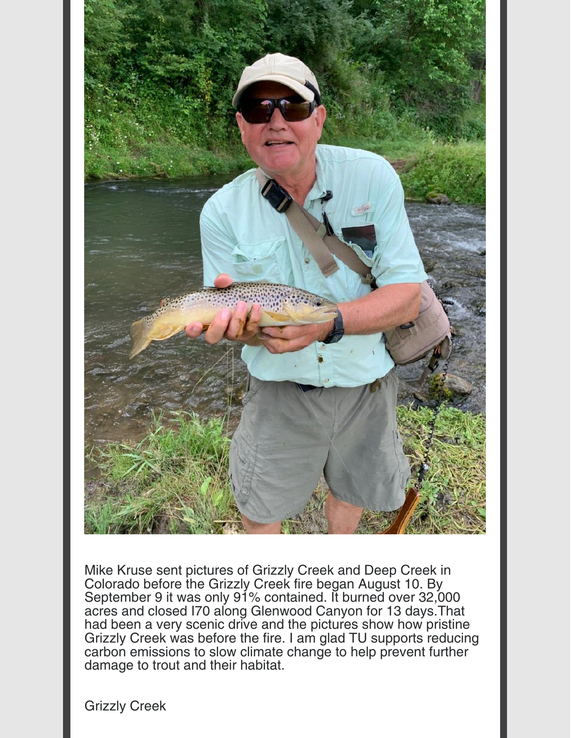

Mike Kruse sent pictures of Grizzly Creek and Deep Creek in Colorado before the Grizzly Creek fire began August 10. By September 9 it was only 91% contained. It burned over 32,000 acres and closed I70 along Glenwood Canyon for 13 days.That had been a very scenic drive and the pictures show how pristine Grizzly Creek was before the fire. I am glad TU supports reducing carbon emissions to slow climate change to help prevent further damage to trout and their habitat.

Grizzly Creek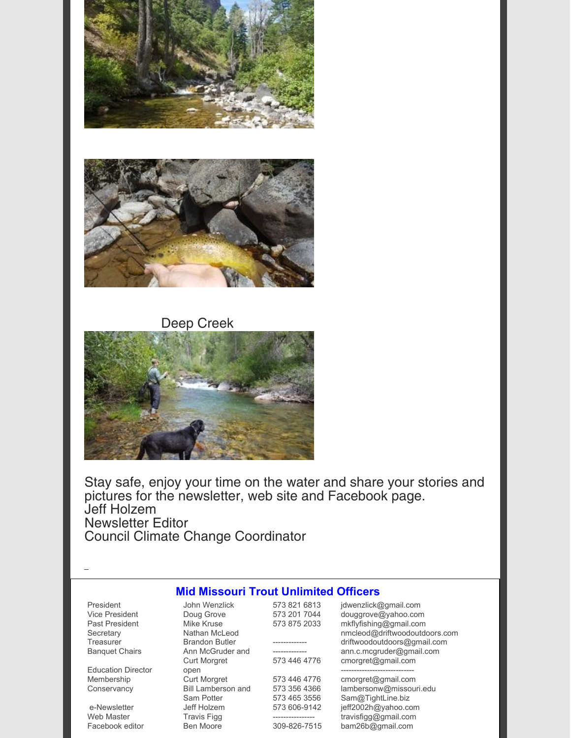



Deep Creek



Stay safe, enjoy your time on the water and share your stories and pictures for the newsletter, web site and Facebook page. Jeff Holzem Newsletter Editor Council Climate Change Coordinator

## John Wenzlick **Mid Missouri Trout Unlimited Officers**

| President             |
|-----------------------|
| <b>Vice President</b> |
| <b>Past President</b> |
| Secretary             |
| Treasurer             |
| <b>Banquet Chairs</b> |

Education Director Membership **Conservancy** 

e-Newsletter Web Master Facebook editor Doug Grove Mike Kruse Nathan McLeod Brandon Butler Ann McGruder and Curt Morgret open Curt Morgret Bill Lamberson and Sam Potter Jeff Holzem Travis Figg Ben Moore

| 573 821 6813 |
|--------------|
| 573 201 7044 |
| 573 875 2033 |
| -----        |
|              |
| 573 446 4776 |
| 573 446 4776 |
| 573 356 4366 |
| 573 465 3556 |
| 573 606-9142 |
|              |
| 309-826-7515 |
|              |

jdwenzlick@gmail.com douggrove@yahoo.com mkflyfishing@gmail.com nmcleod@driftwoodoutdoors.com driftwoodoutdoors@gmail.com ann.c.mcgruder@gmail.com cmorgret@gmail.com --------------------------- cmorgret@gmail.com lambersonw@missouri.edu

Sam@TightLine.biz jeff2002h@yahoo.com travisfigg@gmail.com bam26b@gmail.com